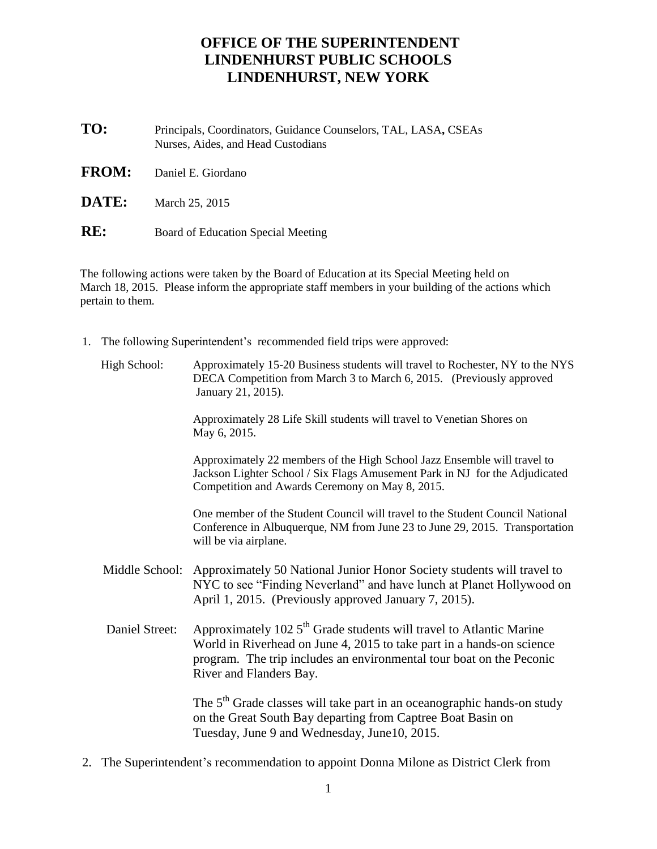## **OFFICE OF THE SUPERINTENDENT LINDENHURST PUBLIC SCHOOLS LINDENHURST, NEW YORK**

- **TO:** Principals, Coordinators, Guidance Counselors, TAL, LASA**,** CSEAs Nurses, Aides, and Head Custodians
- **FROM:** Daniel E. Giordano

**DATE:** March 25, 2015

**RE:** Board of Education Special Meeting

The following actions were taken by the Board of Education at its Special Meeting held on March 18, 2015. Please inform the appropriate staff members in your building of the actions which pertain to them.

1. The following Superintendent's recommended field trips were approved:

| High School:   | Approximately 15-20 Business students will travel to Rochester, NY to the NYS<br>DECA Competition from March 3 to March 6, 2015. (Previously approved<br>January 21, 2015).                                                                                 |
|----------------|-------------------------------------------------------------------------------------------------------------------------------------------------------------------------------------------------------------------------------------------------------------|
|                | Approximately 28 Life Skill students will travel to Venetian Shores on<br>May 6, 2015.                                                                                                                                                                      |
|                | Approximately 22 members of the High School Jazz Ensemble will travel to<br>Jackson Lighter School / Six Flags Amusement Park in NJ for the Adjudicated<br>Competition and Awards Ceremony on May 8, 2015.                                                  |
|                | One member of the Student Council will travel to the Student Council National<br>Conference in Albuquerque, NM from June 23 to June 29, 2015. Transportation<br>will be via airplane.                                                                       |
| Middle School: | Approximately 50 National Junior Honor Society students will travel to<br>NYC to see "Finding Neverland" and have lunch at Planet Hollywood on<br>April 1, 2015. (Previously approved January 7, 2015).                                                     |
| Daniel Street: | Approximately 102 5 <sup>th</sup> Grade students will travel to Atlantic Marine<br>World in Riverhead on June 4, 2015 to take part in a hands-on science<br>program. The trip includes an environmental tour boat on the Peconic<br>River and Flanders Bay. |
|                | The 5 <sup>th</sup> Grade classes will take part in an oceanographic hands-on study<br>on the Great South Bay departing from Captree Boat Basin on<br>Tuesday, June 9 and Wednesday, June 10, 2015.                                                         |

2. The Superintendent's recommendation to appoint Donna Milone as District Clerk from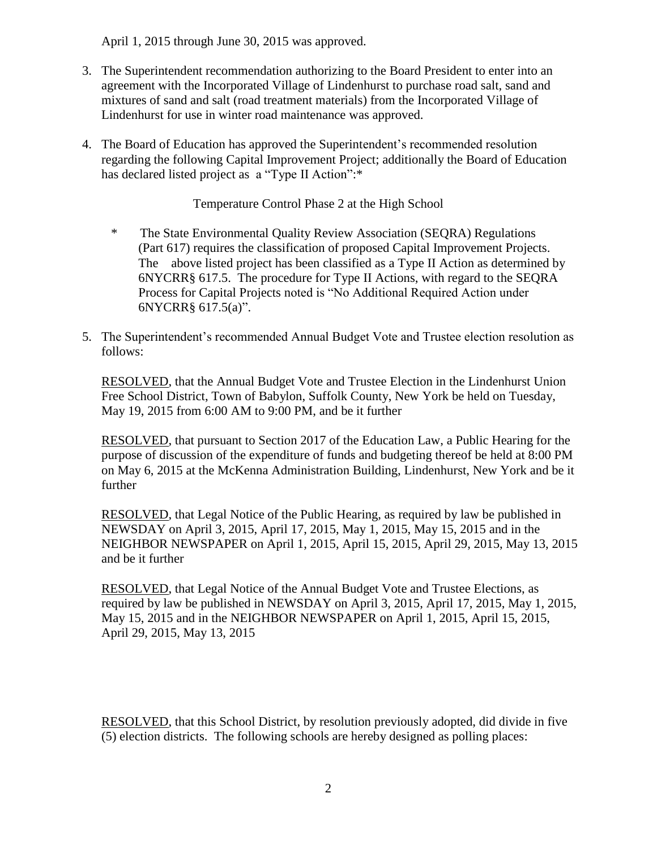April 1, 2015 through June 30, 2015 was approved.

- 3. The Superintendent recommendation authorizing to the Board President to enter into an agreement with the Incorporated Village of Lindenhurst to purchase road salt, sand and mixtures of sand and salt (road treatment materials) from the Incorporated Village of Lindenhurst for use in winter road maintenance was approved.
- 4. The Board of Education has approved the Superintendent's recommended resolution regarding the following Capital Improvement Project; additionally the Board of Education has declared listed project as a "Type II Action":\*

Temperature Control Phase 2 at the High School

- \* The State Environmental Quality Review Association (SEQRA) Regulations (Part 617) requires the classification of proposed Capital Improvement Projects. The above listed project has been classified as a Type II Action as determined by 6NYCRR§ 617.5. The procedure for Type II Actions, with regard to the SEQRA Process for Capital Projects noted is "No Additional Required Action under 6NYCRR§ 617.5(a)".
- 5. The Superintendent's recommended Annual Budget Vote and Trustee election resolution as follows:

RESOLVED, that the Annual Budget Vote and Trustee Election in the Lindenhurst Union Free School District, Town of Babylon, Suffolk County, New York be held on Tuesday, May 19, 2015 from 6:00 AM to 9:00 PM, and be it further

RESOLVED, that pursuant to Section 2017 of the Education Law, a Public Hearing for the purpose of discussion of the expenditure of funds and budgeting thereof be held at 8:00 PM on May 6, 2015 at the McKenna Administration Building, Lindenhurst, New York and be it further

RESOLVED, that Legal Notice of the Public Hearing, as required by law be published in NEWSDAY on April 3, 2015, April 17, 2015, May 1, 2015, May 15, 2015 and in the NEIGHBOR NEWSPAPER on April 1, 2015, April 15, 2015, April 29, 2015, May 13, 2015 and be it further

RESOLVED, that Legal Notice of the Annual Budget Vote and Trustee Elections, as required by law be published in NEWSDAY on April 3, 2015, April 17, 2015, May 1, 2015, May 15, 2015 and in the NEIGHBOR NEWSPAPER on April 1, 2015, April 15, 2015, April 29, 2015, May 13, 2015

RESOLVED, that this School District, by resolution previously adopted, did divide in five (5) election districts. The following schools are hereby designed as polling places: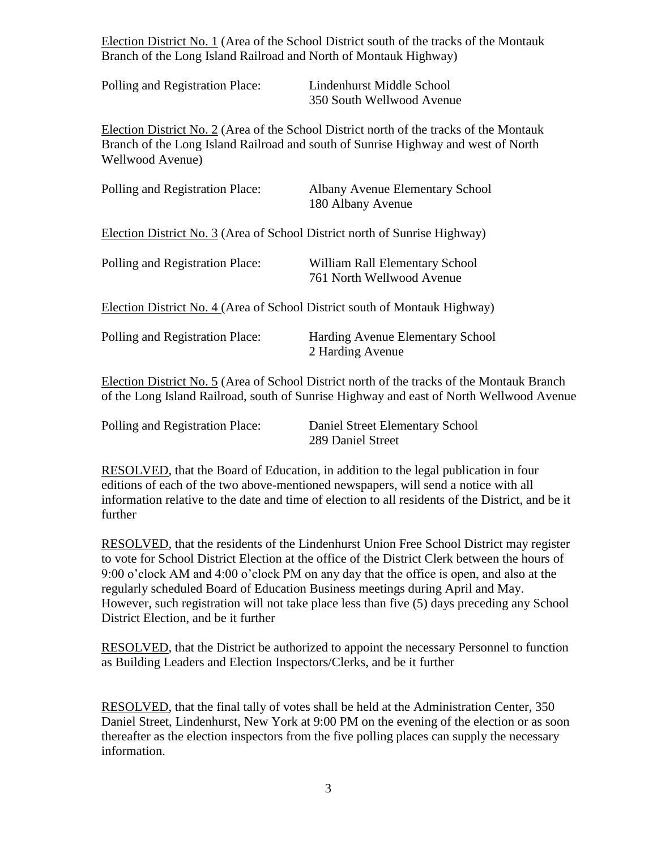Election District No. 1 (Area of the School District south of the tracks of the Montauk Branch of the Long Island Railroad and North of Montauk Highway)

| Polling and Registration Place: | Lindenhurst Middle School |
|---------------------------------|---------------------------|
|                                 | 350 South Wellwood Avenue |

Election District No. 2 (Area of the School District north of the tracks of the Montauk Branch of the Long Island Railroad and south of Sunrise Highway and west of North Wellwood Avenue)

| Polling and Registration Place:                                            | <b>Albany Avenue Elementary School</b><br>180 Albany Avenue                                                                                                                           |  |  |  |
|----------------------------------------------------------------------------|---------------------------------------------------------------------------------------------------------------------------------------------------------------------------------------|--|--|--|
| Election District No. 3 (Area of School District north of Sunrise Highway) |                                                                                                                                                                                       |  |  |  |
| Polling and Registration Place:                                            | William Rall Elementary School<br>761 North Wellwood Avenue                                                                                                                           |  |  |  |
| Election District No. 4 (Area of School District south of Montauk Highway) |                                                                                                                                                                                       |  |  |  |
| Polling and Registration Place:                                            | Harding Avenue Elementary School<br>2 Harding Avenue                                                                                                                                  |  |  |  |
|                                                                            | Election District No. 5 (Area of School District north of the tracks of the Montauk Branch<br>of the Long Island Railroad, south of Sunrise Highway and east of North Wellwood Avenue |  |  |  |

| Polling and Registration Place: | Daniel Street Elementary School |
|---------------------------------|---------------------------------|
|                                 | 289 Daniel Street               |

RESOLVED, that the Board of Education, in addition to the legal publication in four editions of each of the two above-mentioned newspapers, will send a notice with all information relative to the date and time of election to all residents of the District, and be it further

RESOLVED, that the residents of the Lindenhurst Union Free School District may register to vote for School District Election at the office of the District Clerk between the hours of 9:00 o'clock AM and 4:00 o'clock PM on any day that the office is open, and also at the regularly scheduled Board of Education Business meetings during April and May. However, such registration will not take place less than five (5) days preceding any School District Election, and be it further

RESOLVED, that the District be authorized to appoint the necessary Personnel to function as Building Leaders and Election Inspectors/Clerks, and be it further

RESOLVED, that the final tally of votes shall be held at the Administration Center, 350 Daniel Street, Lindenhurst, New York at 9:00 PM on the evening of the election or as soon thereafter as the election inspectors from the five polling places can supply the necessary information.